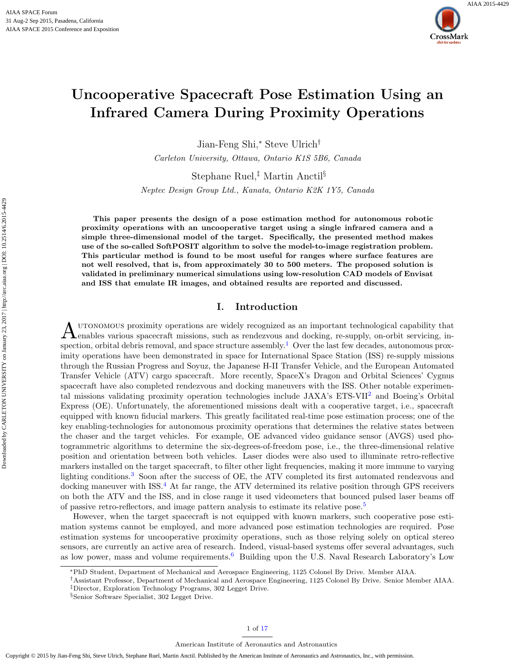

# Uncooperative Spacecraft Pose Estimation Using an Infrared Camera During Proximity Operations

Jian-Feng Shi,<sup>∗</sup> Steve Ulrich†

Carleton University, Ottawa, Ontario K1S 5B6, Canada

Stephane Ruel,‡ Martin Anctil§

Neptec Design Group Ltd., Kanata, Ontario K2K 1Y5, Canada

This paper presents the design of a pose estimation method for autonomous robotic proximity operations with an uncooperative target using a single infrared camera and a simple three-dimensional model of the target. Specifically, the presented method makes use of the so-called SoftPOSIT algorithm to solve the model-to-image registration problem. This particular method is found to be most useful for ranges where surface features are not well resolved, that is, from approximately 30 to 500 meters. The proposed solution is validated in preliminary numerical simulations using low-resolution CAD models of Envisat and ISS that emulate IR images, and obtained results are reported and discussed.

# I. Introduction

A UTONOMOUS proximity operations are widely recognized as an important technological capability that enables various spacecraft missions, such as rendezvous and docking, re-supply, on-orbit servicing, inutonomous proximity operations are widely recognized as an important technological capability that spection, orbital debris removal, and space structure assembly.<sup>[1](#page-15-0)</sup> Over the last few decades, autonomous proximity operations have been demonstrated in space for International Space Station (ISS) re-supply missions through the Russian Progress and Soyuz, the Japanese H-II Transfer Vehicle, and the European Automated Transfer Vehicle (ATV) cargo spacecraft. More recently, SpaceX's Dragon and Orbital Sciences' Cygnus spacecraft have also completed rendezvous and docking maneuvers with the ISS. Other notable experimental missions validating proximity operation technologies include JAXA's ETS-VII[2](#page-15-1) and Boeing's Orbital Express (OE). Unfortunately, the aforementioned missions dealt with a cooperative target, i.e., spacecraft equipped with known fiducial markers. This greatly facilitated real-time pose estimation process; one of the key enabling-technologies for autonomous proximity operations that determines the relative states between the chaser and the target vehicles. For example, OE advanced video guidance sensor (AVGS) used photogrammetric algorithms to determine the six-degrees-of-freedom pose, i.e., the three-dimensional relative position and orientation between both vehicles. Laser diodes were also used to illuminate retro-reflective markers installed on the target spacecraft, to filter other light frequencies, making it more immune to varying lighting conditions.<sup>[3](#page-15-2)</sup> Soon after the success of OE, the ATV completed its first automated rendezvous and docking maneuver with ISS.[4](#page-15-3) At far range, the ATV determined its relative position through GPS receivers on both the ATV and the ISS, and in close range it used videometers that bounced pulsed laser beams off of passive retro-reflectors, and image pattern analysis to estimate its relative pose.<sup>[5](#page-15-4)</sup>

However, when the target spacecraft is not equipped with known markers, such cooperative pose estimation systems cannot be employed, and more advanced pose estimation technologies are required. Pose estimation systems for uncooperative proximity operations, such as those relying solely on optical stereo sensors, are currently an active area of research. Indeed, visual-based systems offer several advantages, such as low power, mass and volume requirements.[6](#page-15-5) Building upon the U.S. Naval Research Laboratory's Low

<sup>∗</sup>PhD Student, Department of Mechanical and Aerospace Engineering, 1125 Colonel By Drive. Member AIAA.

<sup>†</sup>Assistant Professor, Department of Mechanical and Aerospace Engineering, 1125 Colonel By Drive. Senior Member AIAA. ‡Director, Exploration Technology Programs, 302 Legget Drive.

<sup>§</sup>Senior Software Specialist, 302 Legget Drive.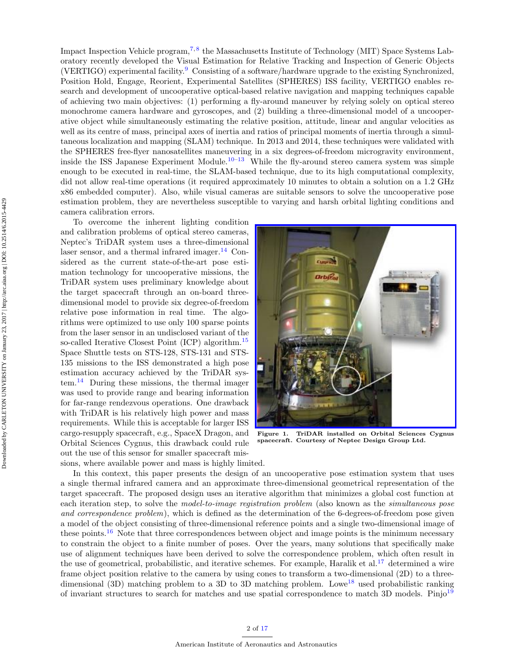Impact Inspection Vehicle program,<sup>[7,](#page-15-6)[8](#page-15-7)</sup> the Massachusetts Institute of Technology (MIT) Space Systems Laboratory recently developed the Visual Estimation for Relative Tracking and Inspection of Generic Objects (VERTIGO) experimental facility.[9](#page-15-8) Consisting of a software/hardware upgrade to the existing Synchronized, Position Hold, Engage, Reorient, Experimental Satellites (SPHERES) ISS facility, VERTIGO enables research and development of uncooperative optical-based relative navigation and mapping techniques capable of achieving two main objectives: (1) performing a fly-around maneuver by relying solely on optical stereo monochrome camera hardware and gyroscopes, and (2) building a three-dimensional model of a uncooperative object while simultaneously estimating the relative position, attitude, linear and angular velocities as well as its centre of mass, principal axes of inertia and ratios of principal moments of inertia through a simultaneous localization and mapping (SLAM) technique. In 2013 and 2014, these techniques were validated with the SPHERES free-flyer nanosatellites maneuvering in a six degrees-of-freedom microgravity environment, inside the ISS Japanese Experiment Module.<sup>[10–](#page-15-9)[13](#page-16-1)</sup> While the fly-around stereo camera system was simple enough to be executed in real-time, the SLAM-based technique, due to its high computational complexity, did not allow real-time operations (it required approximately 10 minutes to obtain a solution on a 1.2 GHz x86 embedded computer). Also, while visual cameras are suitable sensors to solve the uncooperative pose estimation problem, they are nevertheless susceptible to varying and harsh orbital lighting conditions and camera calibration errors.

To overcome the inherent lighting condition and calibration problems of optical stereo cameras, Neptec's TriDAR system uses a three-dimensional laser sensor, and a thermal infrared imager.<sup>[14](#page-16-2)</sup> Considered as the current state-of-the-art pose estimation technology for uncooperative missions, the TriDAR system uses preliminary knowledge about the target spacecraft through an on-board threedimensional model to provide six degree-of-freedom relative pose information in real time. The algorithms were optimized to use only 100 sparse points from the laser sensor in an undisclosed variant of the so-called Iterative Closest Point (ICP) algorithm.<sup>[15](#page-16-3)</sup> Space Shuttle tests on STS-128, STS-131 and STS-135 missions to the ISS demonstrated a high pose estimation accuracy achieved by the TriDAR sys- $tem.<sup>14</sup>$  $tem.<sup>14</sup>$  $tem.<sup>14</sup>$  During these missions, the thermal imager was used to provide range and bearing information for far-range rendezvous operations. One drawback with TriDAR is his relatively high power and mass requirements. While this is acceptable for larger ISS cargo-resupply spacecraft, e.g., SpaceX Dragon, and Orbital Sciences Cygnus, this drawback could rule out the use of this sensor for smaller spacecraft missions, where available power and mass is highly limited.



Figure 1. TriDAR installed on Orbital Sciences Cygnus spacecraft. Courtesy of Neptec Design Group Ltd.

In this context, this paper presents the design of an uncooperative pose estimation system that uses a single thermal infrared camera and an approximate three-dimensional geometrical representation of the target spacecraft. The proposed design uses an iterative algorithm that minimizes a global cost function at each iteration step, to solve the model-to-image registration problem (also known as the simultaneous pose and correspondence problem), which is defined as the determination of the 6-degrees-of-freedom pose given a model of the object consisting of three-dimensional reference points and a single two-dimensional image of these points.<sup>[16](#page-16-4)</sup> Note that three correspondences between object and image points is the minimum necessary to constrain the object to a finite number of poses. Over the years, many solutions that specifically make use of alignment techniques have been derived to solve the correspondence problem, which often result in the use of geometrical, probabilistic, and iterative schemes. For example, Haralik et al.<sup>[17](#page-16-5)</sup> determined a wire frame object position relative to the camera by using cones to transform a two-dimensional (2D) to a three-dimensional (3D) matching problem to a 3D to 3D matching problem. Lowe<sup>[18](#page-16-6)</sup> used probabilistic ranking of invariant structures to search for matches and use spatial correspondence to match 3D models. Pinjo<sup>[19](#page-16-7)</sup>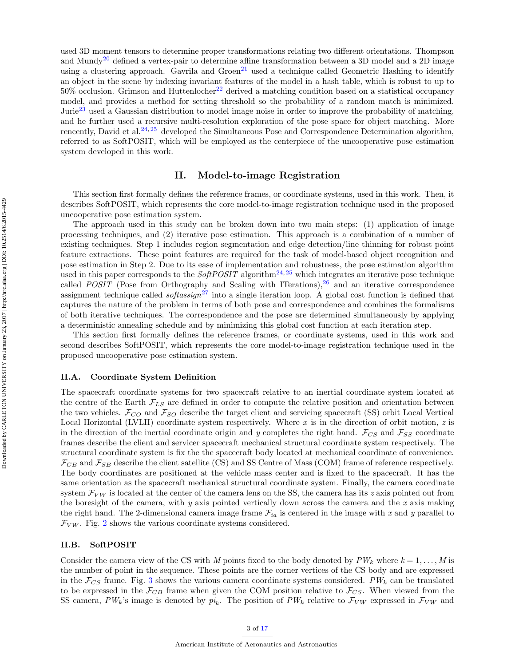used 3D moment tensors to determine proper transformations relating two different orientations. Thompson and Mundy<sup>[20](#page-16-8)</sup> defined a vertex-pair to determine affine transformation between a 3D model and a 2D image using a clustering approach. Gavrila and  $Green^{21}$  $Green^{21}$  $Green^{21}$  used a technique called Geometric Hashing to identify an object in the scene by indexing invariant features of the model in a hash table, which is robust to up to  $50\%$  occlusion. Grimson and Huttenlocher<sup>[22](#page-16-10)</sup> derived a matching condition based on a statistical occupancy model, and provides a method for setting threshold so the probability of a random match is minimized. Jurie<sup>[23](#page-16-11)</sup> used a Gaussian distribution to model image noise in order to improve the probability of matching, and he further used a recursive multi-resolution exploration of the pose space for object matching. More rencently, David et al.<sup>[24,](#page-16-12) [25](#page-16-13)</sup> developed the Simultaneous Pose and Correspondence Determination algorithm, referred to as SoftPOSIT, which will be employed as the centerpiece of the uncooperative pose estimation system developed in this work.

# II. Model-to-image Registration

This section first formally defines the reference frames, or coordinate systems, used in this work. Then, it describes SoftPOSIT, which represents the core model-to-image registration technique used in the proposed uncooperative pose estimation system.

The approach used in this study can be broken down into two main steps: (1) application of image processing techniques, and (2) iterative pose estimation. This approach is a combination of a number of existing techniques. Step 1 includes region segmentation and edge detection/line thinning for robust point feature extractions. These point features are required for the task of model-based object recognition and pose estimation in Step 2. Due to its ease of implementation and robustness, the pose estimation algorithm used in this paper corresponds to the  $SoftPOSTT$  algorithm<sup>[24,](#page-16-12) [25](#page-16-13)</sup> which integrates an iterative pose technique called *POSIT* (Pose from Orthography and Scaling with ITerations),<sup>[26](#page-16-14)</sup> and an iterative correspondence assignment technique called *softassign*<sup>[27](#page-16-15)</sup> into a single iteration loop. A global cost function is defined that captures the nature of the problem in terms of both pose and correspondence and combines the formalisms of both iterative techniques. The correspondence and the pose are determined simultaneously by applying a deterministic annealing schedule and by minimizing this global cost function at each iteration step.

This section first formally defines the reference frames, or coordinate systems, used in this work and second describes SoftPOSIT, which represents the core model-to-image registration technique used in the proposed uncooperative pose estimation system.

#### II.A. Coordinate System Definition

The spacecraft coordinate systems for two spacecraft relative to an inertial coordinate system located at the centre of the Earth  $\mathcal{F}_{LS}$  are defined in order to compute the relative position and orientation between the two vehicles.  $\mathcal{F}_{CO}$  and  $\mathcal{F}_{SO}$  describe the target client and servicing spacecraft (SS) orbit Local Vertical Local Horizontal (LVLH) coordinate system respectively. Where  $x$  is in the direction of orbit motion,  $z$  is in the direction of the inertial coordinate origin and y completes the right hand.  $\mathcal{F}_{CS}$  and  $\mathcal{F}_{SS}$  coordinate frames describe the client and servicer spacecraft mechanical structural coordinate system respectively. The structural coordinate system is fix the the spacecraft body located at mechanical coordinate of convenience.  $\mathcal{F}_{CB}$  and  $\mathcal{F}_{SB}$  describe the client satellite (CS) and SS Centre of Mass (COM) frame of reference respectively. The body coordinates are positioned at the vehicle mass center and is fixed to the spacecraft. It has the same orientation as the spacecraft mechanical structural coordinate system. Finally, the camera coordinate system  $\mathcal{F}_{VW}$  is located at the center of the camera lens on the SS, the camera has its z axis pointed out from the boresight of the camera, with  $y$  axis pointed vertically down across the camera and the  $x$  axis making the right hand. The 2-dimensional camera image frame  $\mathcal{F}_{ia}$  is centered in the image with x and y parallel to  $\mathcal{F}_{VW}$ . Fig. [2](#page-3-0) shows the various coordinate systems considered.

## II.B. SoftPOSIT

Consider the camera view of the CS with M points fixed to the body denoted by  $PW_k$  where  $k = 1, \ldots, M$  is the number of point in the sequence. These points are the corner vertices of the CS body and are expressed in the  $\mathcal{F}_{CS}$  frame. Fig. [3](#page-4-0) shows the various camera coordinate systems considered. PW<sub>k</sub> can be translated to be expressed in the  $\mathcal{F}_{CB}$  frame when given the COM position relative to  $\mathcal{F}_{CS}$ . When viewed from the SS camera,  $PW_k$ 's image is denoted by  $pi_k$ . The position of  $PW_k$  relative to  $\mathcal{F}_{VW}$  expressed in  $\mathcal{F}_{VW}$  and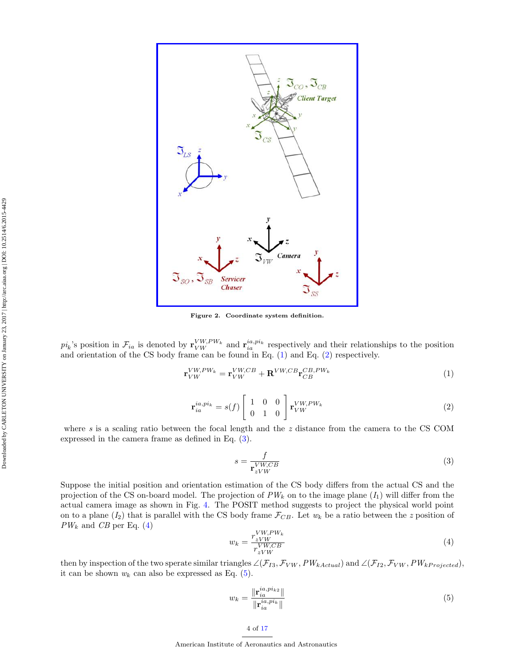

<span id="page-3-0"></span>Figure 2. Coordinate system definition.

 $pi_k$ 's position in  $\mathcal{F}_{ia}$  is denoted by  $\mathbf{r}_{VW}^{VW,PW_k}$  and  $\mathbf{r}_{ia}^{ia,pi_k}$  respectively and their relationships to the position and orientation of the CS body frame can be found in Eq. [\(1\)](#page-3-1) and Eq. [\(2\)](#page-3-2) respectively.

$$
\mathbf{r}_{VW}^{VW,PW_k} = \mathbf{r}_{VW}^{VW,CB} + \mathbf{R}^{VW,CB} \mathbf{r}_{CB}^{CB,PW_k}
$$
\n(1)

$$
\mathbf{r}_{ia}^{ia,pi} = s(f) \begin{bmatrix} 1 & 0 & 0 \\ 0 & 1 & 0 \end{bmatrix} \mathbf{r}_{VW}^{VW,PW_k}
$$
 (2)

<span id="page-3-2"></span>where s is a scaling ratio between the focal length and the z distance from the camera to the CS COM expressed in the camera frame as defined in Eq. [\(3\)](#page-3-3).

<span id="page-3-3"></span><span id="page-3-1"></span>
$$
s = \frac{f}{\mathbf{r}_{zVW}^{VW,CB}}\tag{3}
$$

Suppose the initial position and orientation estimation of the CS body differs from the actual CS and the projection of the CS on-board model. The projection of  $PW_k$  on to the image plane  $(I_1)$  will differ from the actual camera image as shown in Fig. [4.](#page-4-1) The POSIT method suggests to project the physical world point on to a plane  $(I_2)$  that is parallel with the CS body frame  $\mathcal{F}_{CB}$ . Let  $w_k$  be a ratio between the z position of  $PW_k$  and  $CB$  per Eq. [\(4\)](#page-3-4)

<span id="page-3-4"></span>
$$
w_k = \frac{r_{zVW}}{r_{zVW}^{VW,CB}}\tag{4}
$$

then by inspection of the two sperate similar triangles  $\angle(\mathcal{F}_{I3}, \mathcal{F}_{VW}, PW_{kActual})$  and  $\angle(\mathcal{F}_{I2}, \mathcal{F}_{VW}, PW_{kProjected})$ , it can be shown  $w_k$  can also be expressed as Eq. [\(5\)](#page-3-5).

<span id="page-3-5"></span>
$$
w_k = \frac{\|\mathbf{r}_{ia}^{ia, p i_{k2}}\|}{\|\mathbf{r}_{ia}^{ia, p i_k}\|}\tag{5}
$$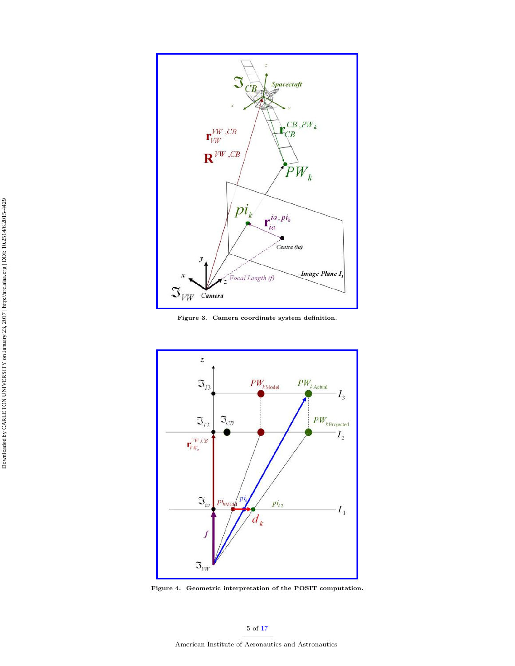

<span id="page-4-0"></span>Figure 3. Camera coordinate system definition.



<span id="page-4-1"></span>Figure 4. Geometric interpretation of the POSIT computation.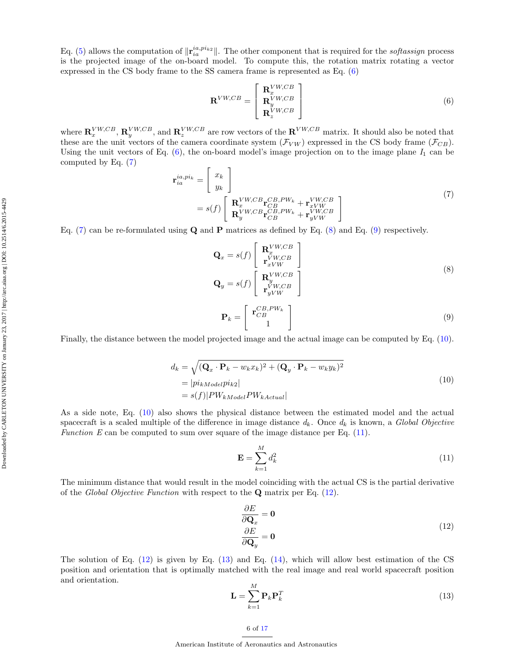<span id="page-5-0"></span>
$$
\mathbf{R}^{VW,CB} = \begin{bmatrix} \mathbf{R}_x^{VW,CB} \\ \mathbf{R}_y^{VW,CB} \\ \mathbf{R}_z^{VW,CB} \end{bmatrix}
$$
 (6)

where  $\mathbf{R}_x^{VW, CB}, \mathbf{R}_y^{VW, CB},$  and  $\mathbf{R}_z^{VW, CB}$  are row vectors of the  $\mathbf{R}^{VW, CB}$  matrix. It should also be noted that these are the unit vectors of the camera coordinate system  $(\mathcal{F}_{VW})$  expressed in the CS body frame  $(\mathcal{F}_{CB})$ . Using the unit vectors of Eq.  $(6)$ , the on-board model's image projection on to the image plane  $I_1$  can be computed by Eq. [\(7\)](#page-5-1)

<span id="page-5-1"></span>
$$
\mathbf{r}_{ia}^{ia,pi_k} = \begin{bmatrix} x_k \\ y_k \end{bmatrix}
$$
\n
$$
= s(f) \begin{bmatrix} \mathbf{R}_x^{VW, CB} \mathbf{r}_{CB}^{CB, PW_k} + \mathbf{r}_{xVW}^{VW, CB} \\ \mathbf{R}_y^{VW, CB} \mathbf{r}_{CB}^{CB, PW_k} + \mathbf{r}_{yVW}^{VW, CB} \end{bmatrix}
$$
\n(7)

Eq. [\(7\)](#page-5-1) can be re-formulated using  $\bf{Q}$  and  $\bf{P}$  matrices as defined by Eq. [\(8\)](#page-5-2) and Eq. [\(9\)](#page-5-3) respectively.

<span id="page-5-2"></span>
$$
\mathbf{Q}_x = s(f) \begin{bmatrix} \mathbf{R}_x^{VW,CB} \\ \mathbf{r}_{xVW}^{VW,CB} \\ \mathbf{r}_{yVW}^{VW,CB} \end{bmatrix}
$$
\n
$$
\mathbf{Q}_y = s(f) \begin{bmatrix} \mathbf{R}_y^{VW,CB} \\ \mathbf{r}_{yVW}^{VW,CB} \end{bmatrix}
$$
\n
$$
\mathbf{P}_k = \begin{bmatrix} \mathbf{r}_{CB}^{CB,PW_k} \\ 1 \end{bmatrix}
$$
\n(9)

<span id="page-5-4"></span><span id="page-5-3"></span>Finally, the distance between the model projected image and the actual image can be computed by Eq. [\(10\)](#page-5-4).

$$
d_k = \sqrt{(\mathbf{Q}_x \cdot \mathbf{P}_k - w_k x_k)^2 + (\mathbf{Q}_y \cdot \mathbf{P}_k - w_k y_k)^2}
$$
  
=  $|pi_{kModel}pi_{k2}|$   
=  $s(f)|PW_{kModel}PW_{kActual}|$  (10)

As a side note, Eq. [\(10\)](#page-5-4) also shows the physical distance between the estimated model and the actual spacecraft is a scaled multiple of the difference in image distance  $d_k$ . Once  $d_k$  is known, a Global Objective Function E can be computed to sum over square of the image distance per Eq.  $(11)$ .

<span id="page-5-5"></span>
$$
\mathbf{E} = \sum_{k=1}^{M} d_k^2 \tag{11}
$$

The minimum distance that would result in the model coinciding with the actual CS is the partial derivative of the Global Objective Function with respect to the  $Q$  matrix per Eq. [\(12\)](#page-5-6).

<span id="page-5-6"></span>
$$
\frac{\partial E}{\partial \mathbf{Q}_x} = \mathbf{0}
$$
  

$$
\frac{\partial E}{\partial \mathbf{Q}_y} = \mathbf{0}
$$
 (12)

<span id="page-5-7"></span>The solution of Eq. [\(12\)](#page-5-6) is given by Eq. [\(13\)](#page-5-7) and Eq. [\(14\)](#page-6-0), which will allow best estimation of the CS position and orientation that is optimally matched with the real image and real world spacecraft position and orientation.

$$
\mathbf{L} = \sum_{k=1}^{M} \mathbf{P}_k \mathbf{P}_k^T
$$
 (13)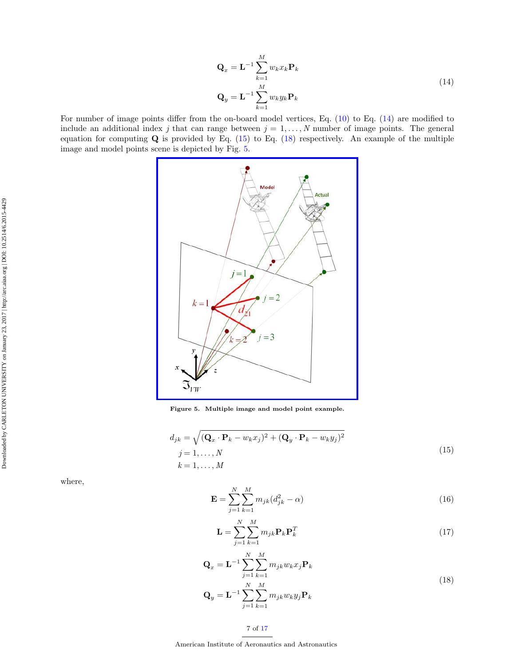<span id="page-6-1"></span>
$$
\mathbf{Q}_x = \mathbf{L}^{-1} \sum_{k=1}^{M} w_k x_k \mathbf{P}_k
$$
  

$$
\mathbf{Q}_y = \mathbf{L}^{-1} \sum_{k=1}^{M} w_k y_k \mathbf{P}_k
$$
 (14)

<span id="page-6-0"></span>For number of image points differ from the on-board model vertices, Eq. [\(10\)](#page-5-4) to Eq. [\(14\)](#page-6-0) are modified to include an additional index j that can range between  $j = 1, \ldots, N$  number of image points. The general equation for computing  $Q$  is provided by Eq. [\(15\)](#page-6-1) to Eq. [\(18\)](#page-6-2) respectively. An example of the multiple image and model points scene is depicted by Fig. [5.](#page-6-3)



<span id="page-6-3"></span>Figure 5. Multiple image and model point example.

$$
d_{jk} = \sqrt{(\mathbf{Q}_x \cdot \mathbf{P}_k - w_k x_j)^2 + (\mathbf{Q}_y \cdot \mathbf{P}_k - w_k y_j)^2}
$$
  
\n
$$
j = 1, ..., N
$$
  
\n
$$
k = 1, ..., M
$$
\n(15)

<span id="page-6-2"></span>where,

$$
\mathbf{E} = \sum_{j=1}^{N} \sum_{k=1}^{M} m_{jk} (d_{jk}^2 - \alpha)
$$
 (16)

$$
\mathbf{L} = \sum_{j=1}^{N} \sum_{k=1}^{M} m_{jk} \mathbf{P}_k \mathbf{P}_k^T
$$
 (17)

$$
\mathbf{Q}_x = \mathbf{L}^{-1} \sum_{j=1}^N \sum_{k=1}^M m_{jk} w_k x_j \mathbf{P}_k
$$
\n
$$
\mathbf{Q}_x = \mathbf{L}^{-1} \sum_{j=1}^N \sum_{k=1}^M m_{jk} w_k x_j \mathbf{P}_k
$$
\n
$$
(18)
$$

$$
\mathbf{Q}_y = \mathbf{L}^{-1} \sum_{j=1}^N \sum_{k=1}^M m_{jk} w_k y_j \mathbf{P}_k
$$

Downloaded by CARLETON UNIVERSITY on January 23, 2017 | http://arc.aiaa.org | DOI: 10.2514/6.2015-4429

Downloaded by CARLETON UNIVERSITY on January 23, 2017 | http://arc.aiaa.org | DOI: 10.2514/6.2015-4429

7 of [17](#page-16-0)

American Institute of Aeronautics and Astronautics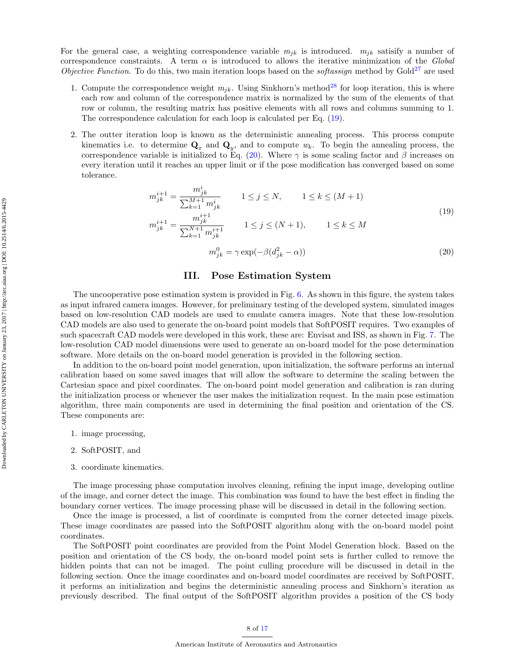For the general case, a weighting correspondence variable  $m_{ik}$  is introduced.  $m_{ik}$  satisify a number of correspondence constraints. A term  $\alpha$  is introduced to allows the iterative minimization of the Global Objective Function. To do this, two main iteration loops based on the *softassign* method by  $Gold^{27}$  $Gold^{27}$  $Gold^{27}$  are used

- 1. Compute the correspondence weight  $m_{jk}$ . Using Sinkhorn's method<sup>[28](#page-16-16)</sup> for loop iteration, this is where each row and column of the correspondence matrix is normalized by the sum of the elements of that row or column, the resulting matrix has positive elements with all rows and columns summing to 1. The correspondence calculation for each loop is calculated per Eq. [\(19\)](#page-7-0).
- <span id="page-7-0"></span>2. The outter iteration loop is known as the deterministic annealing process. This process compute kinematics i.e. to determine  $\mathbf{Q}_x$  and  $\mathbf{Q}_y$ , and to compute  $w_k$ . To begin the annealing process, the correspondence variable is initialized to Eq. [\(20\)](#page-7-1). Where  $\gamma$  is some scaling factor and  $\beta$  increases on every iteration until it reaches an upper limit or if the pose modification has converged based on some tolerance.

$$
m_{jk}^{i+1} = \frac{m_{jk}^i}{\sum_{k=1}^{M+1} m_{jk}^i} \qquad 1 \le j \le N, \qquad 1 \le k \le (M+1)
$$
  
\n
$$
m_{jk}^{i+1} = \frac{m_{jk}^{i+1}}{\sum_{k=1}^{N+1} m_{jk}^{i+1}} \qquad 1 \le j \le (N+1), \qquad 1 \le k \le M
$$
  
\n
$$
m_{jk}^0 = \gamma \exp(-\beta(d_{jk}^2 - \alpha)) \qquad (20)
$$

## III. Pose Estimation System

<span id="page-7-1"></span>The uncooperative pose estimation system is provided in Fig. [6.](#page-8-0) As shown in this figure, the system takes as input infrared camera images. However, for preliminary testing of the developed system, simulated images based on low-resolution CAD models are used to emulate camera images. Note that these low-resolution CAD models are also used to generate the on-board point models that SoftPOSIT requires. Two examples of such spacecraft CAD models were developed in this work, these are: Envisat and ISS, as shown in Fig. [7.](#page-9-0) The low-resolution CAD model dimensions were used to generate an on-board model for the pose determination software. More details on the on-board model generation is provided in the following section.

In addition to the on-board point model generation, upon initialization, the software performs an internal calibration based on some saved images that will allow the software to determine the scaling between the Cartesian space and pixel coordinates. The on-board point model generation and calibration is ran during the initialization process or whenever the user makes the initialization request. In the main pose estimation algorithm, three main components are used in determining the final position and orientation of the CS. These components are:

- 1. image processing,
- 2. SoftPOSIT, and
- 3. coordinate kinematics.

The image processing phase computation involves cleaning, refining the input image, developing outline of the image, and corner detect the image. This combination was found to have the best effect in finding the boundary corner vertices. The image processing phase will be discussed in detail in the following section.

Once the image is processed, a list of coordinate is computed from the corner detected image pixels. These image coordinates are passed into the SoftPOSIT algorithm along with the on-board model point coordinates.

The SoftPOSIT point coordinates are provided from the Point Model Generation block. Based on the position and orientation of the CS body, the on-board model point sets is further culled to remove the hidden points that can not be imaged. The point culling procedure will be discussed in detail in the following section. Once the image coordinates and on-board model coordinates are received by SoftPOSIT, it performs an initialization and begins the deterministic annealing process and Sinkhorn's iteration as previously described. The final output of the SoftPOSIT algorithm provides a position of the CS body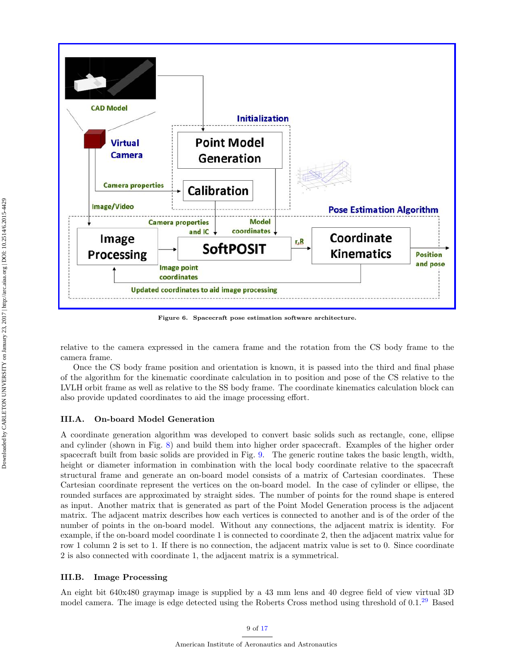

<span id="page-8-0"></span>Figure 6. Spacecraft pose estimation software architecture.

relative to the camera expressed in the camera frame and the rotation from the CS body frame to the camera frame.

Once the CS body frame position and orientation is known, it is passed into the third and final phase of the algorithm for the kinematic coordinate calculation in to position and pose of the CS relative to the LVLH orbit frame as well as relative to the SS body frame. The coordinate kinematics calculation block can also provide updated coordinates to aid the image processing effort.

#### III.A. On-board Model Generation

A coordinate generation algorithm was developed to convert basic solids such as rectangle, cone, ellipse and cylinder (shown in Fig. [8\)](#page-10-0) and build them into higher order spacecraft. Examples of the higher order spacecraft built from basic solids are provided in Fig. [9.](#page-10-1) The generic routine takes the basic length, width, height or diameter information in combination with the local body coordinate relative to the spacecraft structural frame and generate an on-board model consists of a matrix of Cartesian coordinates. These Cartesian coordinate represent the vertices on the on-board model. In the case of cylinder or ellipse, the rounded surfaces are approximated by straight sides. The number of points for the round shape is entered as input. Another matrix that is generated as part of the Point Model Generation process is the adjacent matrix. The adjacent matrix describes how each vertices is connected to another and is of the order of the number of points in the on-board model. Without any connections, the adjacent matrix is identity. For example, if the on-board model coordinate 1 is connected to coordinate 2, then the adjacent matrix value for row 1 column 2 is set to 1. If there is no connection, the adjacent matrix value is set to 0. Since coordinate 2 is also connected with coordinate 1, the adjacent matrix is a symmetrical.

## III.B. Image Processing

An eight bit 640x480 graymap image is supplied by a 43 mm lens and 40 degree field of view virtual 3D model camera. The image is edge detected using the Roberts Cross method using threshold of 0.1.[29](#page-16-17) Based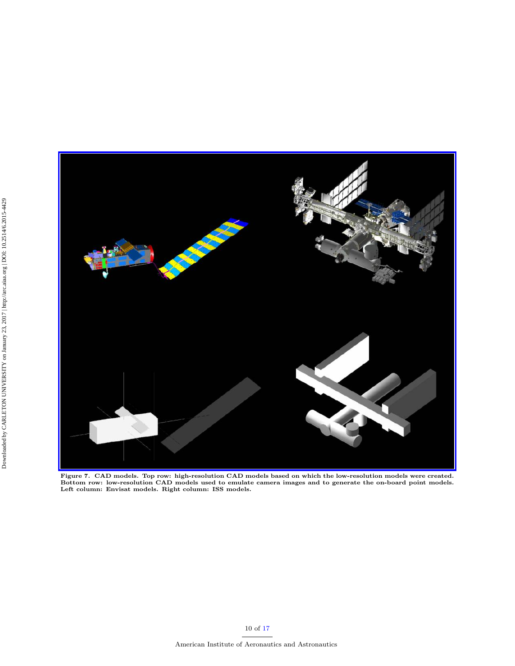

<span id="page-9-0"></span>Figure 7. CAD models. Top row: high-resolution CAD models based on which the low-resolution models were created.<br>Bottom row: low-resolution CAD models used to emulate camera images and to generate the on-board point model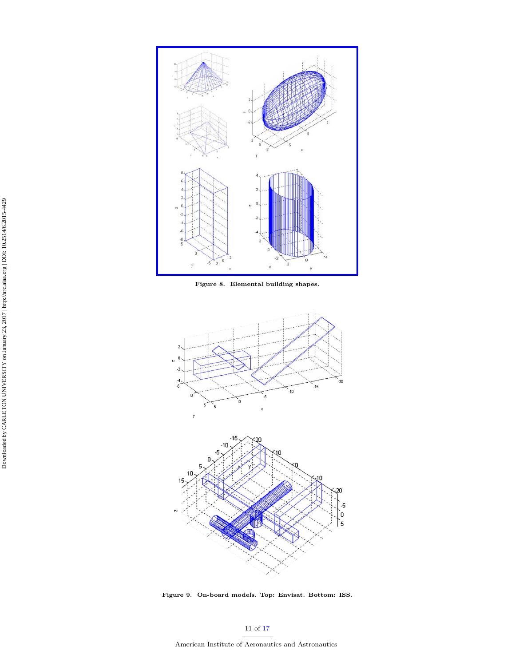

<span id="page-10-0"></span>Figure 8. Elemental building shapes.



<span id="page-10-1"></span>Figure 9. On-board models. Top: Envisat. Bottom: ISS.

Downloaded by CARLETON UNIVERSITY on January 23, 2017 | http://arc.aiaa.org | DOI: 10.2514/6.2015-4429 Downloaded by CARLETON UNIVERSITY on January 23, 2017 | http://arc.aiaa.org | DOI: 10.2514/6.2015-4429

American Institute of Aeronautics and Astronautics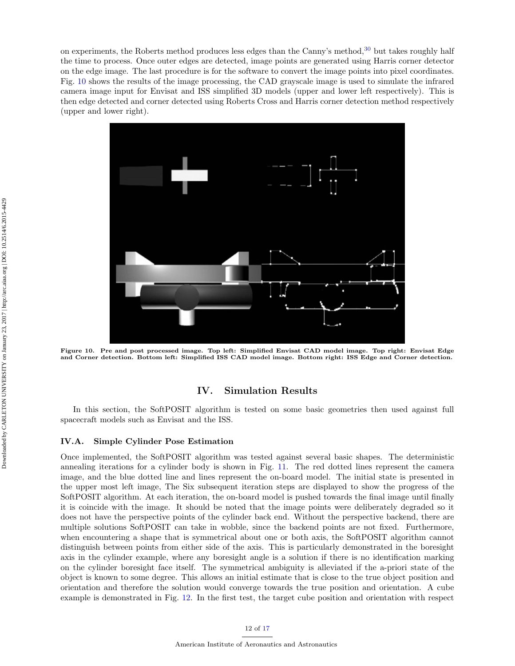on experiments, the Roberts method produces less edges than the Canny's method,<sup>[30](#page-16-18)</sup> but takes roughly half the time to process. Once outer edges are detected, image points are generated using Harris corner detector on the edge image. The last procedure is for the software to convert the image points into pixel coordinates. Fig. [10](#page-11-0) shows the results of the image processing, the CAD grayscale image is used to simulate the infrared camera image input for Envisat and ISS simplified 3D models (upper and lower left respectively). This is then edge detected and corner detected using Roberts Cross and Harris corner detection method respectively (upper and lower right).



<span id="page-11-0"></span>Figure 10. Pre and post processed image. Top left: Simplified Envisat CAD model image. Top right: Envisat Edge and Corner detection. Bottom left: Simplified ISS CAD model image. Bottom right: ISS Edge and Corner detection.

# IV. Simulation Results

In this section, the SoftPOSIT algorithm is tested on some basic geometries then used against full spacecraft models such as Envisat and the ISS.

#### IV.A. Simple Cylinder Pose Estimation

Once implemented, the SoftPOSIT algorithm was tested against several basic shapes. The deterministic annealing iterations for a cylinder body is shown in Fig. [11.](#page-12-0) The red dotted lines represent the camera image, and the blue dotted line and lines represent the on-board model. The initial state is presented in the upper most left image, The Six subsequent iteration steps are displayed to show the progress of the SoftPOSIT algorithm. At each iteration, the on-board model is pushed towards the final image until finally it is coincide with the image. It should be noted that the image points were deliberately degraded so it does not have the perspective points of the cylinder back end. Without the perspective backend, there are multiple solutions SoftPOSIT can take in wobble, since the backend points are not fixed. Furthermore, when encountering a shape that is symmetrical about one or both axis, the SoftPOSIT algorithm cannot distinguish between points from either side of the axis. This is particularly demonstrated in the boresight axis in the cylinder example, where any boresight angle is a solution if there is no identification marking on the cylinder boresight face itself. The symmetrical ambiguity is alleviated if the a-priori state of the object is known to some degree. This allows an initial estimate that is close to the true object position and orientation and therefore the solution would converge towards the true position and orientation. A cube example is demonstrated in Fig. [12.](#page-12-1) In the first test, the target cube position and orientation with respect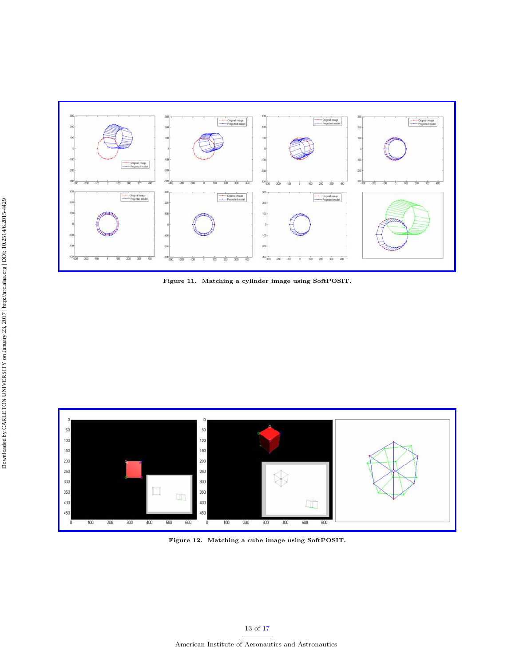

<span id="page-12-0"></span>Figure 11. Matching a cylinder image using SoftPOSIT.



<span id="page-12-1"></span>Figure 12. Matching a cube image using SoftPOSIT.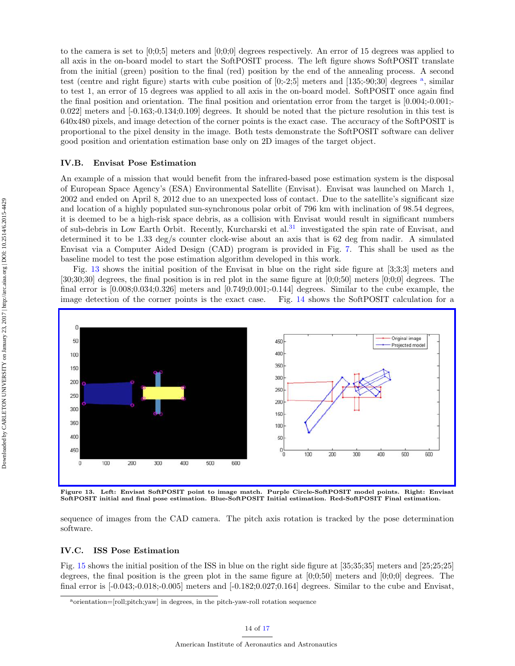to the camera is set to [0;0;5] meters and [0;0;0] degrees respectively. An error of 15 degrees was applied to all axis in the on-board model to start the SoftPOSIT process. The left figure shows SoftPOSIT translate from the initial (green) position to the final (red) position by the end of the annealing process. A second test (centre [a](#page-13-0)nd right figure) starts with cube position of  $[0;-2;5]$  meters and  $[135;-90;30]$  degrees  $^a$ , similar to test 1, an error of 15 degrees was applied to all axis in the on-board model. SoftPOSIT once again find the final position and orientation. The final position and orientation error from the target is [0.004;-0.001;- 0.022] meters and [-0.163;-0.134;0.109] degrees. It should be noted that the picture resolution in this test is 640x480 pixels, and image detection of the corner points is the exact case. The accuracy of the SoftPOSIT is proportional to the pixel density in the image. Both tests demonstrate the SoftPOSIT software can deliver good position and orientation estimation base only on 2D images of the target object.

#### IV.B. Envisat Pose Estimation

An example of a mission that would benefit from the infrared-based pose estimation system is the disposal of European Space Agency's (ESA) Environmental Satellite (Envisat). Envisat was launched on March 1, 2002 and ended on April 8, 2012 due to an unexpected loss of contact. Due to the satellite's significant size and location of a highly populated sun-synchronous polar orbit of 796 km with inclination of 98.54 degrees, it is deemed to be a high-risk space debris, as a collision with Envisat would result in significant numbers of sub-debris in Low Earth Orbit. Recently, Kurcharski et al.<sup>[31](#page-16-19)</sup> investigated the spin rate of Envisat, and determined it to be 1.33 deg/s counter clock-wise about an axis that is 62 deg from nadir. A simulated Envisat via a Computer Aided Design (CAD) program is provided in Fig. [7.](#page-9-0) This shall be used as the baseline model to test the pose estimation algorithm developed in this work.

Fig. [13](#page-13-1) shows the initial position of the Envisat in blue on the right side figure at [3;3;3] meters and  $[30,30,30]$  degrees, the final position is in red plot in the same figure at  $[0,0,50]$  meters  $[0,0,0]$  degrees. The final error is [0.008;0.034;0.326] meters and [0.749;0.001;-0.144] degrees. Similar to the cube example, the image detection of the corner points is the exact case. Fig. [14](#page-14-0) shows the SoftPOSIT calculation for a



<span id="page-13-1"></span>Figure 13. Left: Envisat SoftPOSIT point to image match. Purple Circle-SoftPOSIT model points. Right: Envisat SoftPOSIT initial and final pose estimation. Blue-SoftPOSIT Initial estimation. Red-SoftPOSIT Final estimation.

sequence of images from the CAD camera. The pitch axis rotation is tracked by the pose determination software.

#### IV.C. ISS Pose Estimation

Fig. [15](#page-14-1) shows the initial position of the ISS in blue on the right side figure at [35;35;35] meters and [25;25;25] degrees, the final position is the green plot in the same figure at  $[0;0;50]$  meters and  $[0;0;0]$  degrees. The final error is [-0.043;-0.018;-0.005] meters and [-0.182;0.027;0.164] degrees. Similar to the cube and Envisat,

<span id="page-13-0"></span>aorientation=[roll;pitch;yaw] in degrees, in the pitch-yaw-roll rotation sequence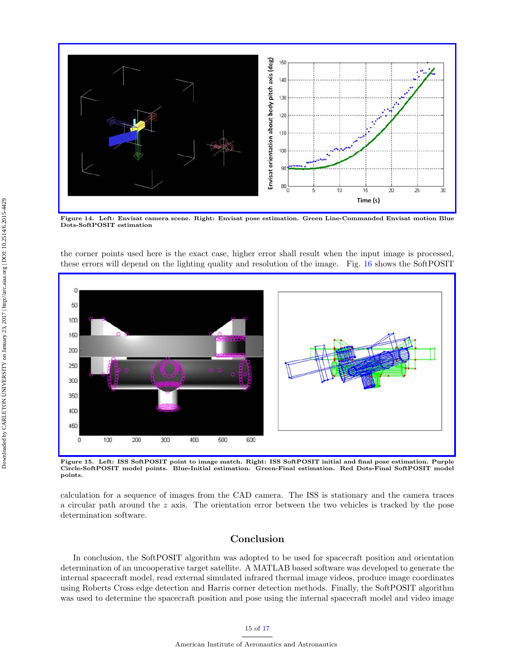

<span id="page-14-0"></span>Figure 14. Left: Envisat camera scene. Right: Envisat pose estimation. Green Line-Commanded Envisat motion Blue Dots-SoftPOSIT estimation

the corner points used here is the exact case, higher error shall result when the input image is processed, these errors will depend on the lighting quality and resolution of the image. Fig. [16](#page-15-10) shows the SoftPOSIT



<span id="page-14-1"></span>Figure 15. Left: ISS SoftPOSIT point to image match. Right: ISS SoftPOSIT initial and final pose estimation. Purple Circle-SoftPOSIT model points. Blue-Initial estimation. Green-Final estimation. Red Dots-Final SoftPOSIT model points.

calculation for a sequence of images from the CAD camera. The ISS is stationary and the camera traces a circular path around the  $z$  axis. The orientation error between the two vehicles is tracked by the pose determination software.

# Conclusion

In conclusion, the SoftPOSIT algorithm was adopted to be used for spacecraft position and orientation determination of an uncooperative target satellite. A MATLAB based software was developed to generate the internal spacecraft model, read external simulated infrared thermal image videos, produce image coordinates using Roberts Cross edge detection and Harris corner detection methods. Finally, the SoftPOSIT algorithm was used to determine the spacecraft position and pose using the internal spacecraft model and video image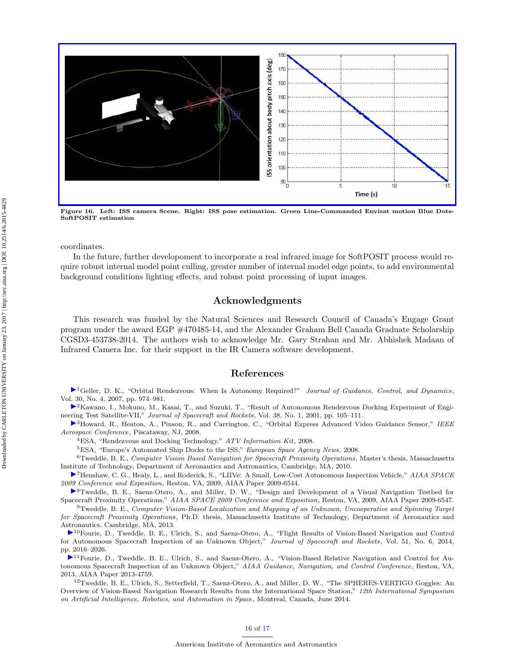

<span id="page-15-10"></span>Figure 16. Left: ISS camera Scene. Right: ISS pose estimation. Green Line-Commanded Envisat motion Blue Dots-SoftPOSIT estimation

coordinates.

In the future, further developoment to incorporate a real infrared image for SoftPOSIT process would require robust internal model point culling, greater number of internal model edge points, to add environmental background conditions lighting effects, and robust point processing of input images.

# Acknowledgments

This research was funded by the Natural Sciences and Research Council of Canada's Engage Grant program under the award EGP #470485-14, and the Alexander Graham Bell Canada Graduate Scholarship CGSD3-453738-2014. The authors wish to acknowledge Mr. Gary Strahan and Mr. Abhishek Madaan of Infrared Camera Inc. for their support in the IR Camera software development.

### References

<span id="page-15-0"></span> $\blacktriangleright$ <sup>1</sup>Geller, D. K., "Orbital Rendezvous: When Is Autonomy Required?" *Journal of Guidance, Control, and Dynamics*, Vol. 30, No. 4, 2007, pp. 974–981.

<span id="page-15-1"></span><sup>2</sup>Kawano, I., Mokuno, M., Kasai, T., and Suzuki, T., "Result of Autonomous Rendezvous Docking Experiment of Engineering Test Satellite-VII," Journal of Spacecraft and Rockets, Vol. 38, No. 1, 2001, pp. 105–111.

<span id="page-15-3"></span><span id="page-15-2"></span> $\triangleright$ <sup>3</sup>Howard, R., Heaton, A., Pinson, R., and Carrington, C., "Orbital Express Advanced Video Guidance Sensor," IEEE Aerospace Conference, Piscataway, NJ, 2008.

<sup>4</sup>ESA, "Rendezvous and Docking Technology," ATV Information Kit, 2008.

<sup>5</sup>ESA, "Europe's Automated Ship Docks to the ISS," European Space Agency News, 2008.

<span id="page-15-5"></span><span id="page-15-4"></span> $6$ Tweddle, B. E., Computer Vision Based Navigation for Spacecraft Proximity Operations, Master's thesis, Massachusetts Institute of Technology, Department of Aeronautics and Astronautics, Cambridge, MA, 2010.

<span id="page-15-6"></span> $\blacktriangleright$ <sup>7</sup>Henshaw, C. G., Healy, L., and Roderick, S., "LIIVe: A Small, Low-Cost Autonomous Inspection Vehicle," AIAA SPACE 2009 Conference and Exposition, Reston, VA, 2009, AIAA Paper 2009-6544.

<span id="page-15-7"></span><sup>8</sup>Tweddle, B. E., Saenz-Otero, A., and Miller, D. W., "Design and Development of a Visual Navigation Testbed for Spacecraft Proximity Operations," AIAA SPACE 2009 Conference and Exposition, Reston, VA, 2009, AIAA Paper 2009-6547.

<span id="page-15-8"></span><sup>9</sup>Tweddle, B. E., Computer Vision-Based Localization and Mapping of an Unknown, Uncooperative and Spinning Target for Spacecraft Proximity Operations, Ph.D. thesis, Massachusetts Institute of Technology, Department of Aeronautics and Astronautics, Cambridge, MA, 2013.

<span id="page-15-9"></span>[1](http://arc.aiaa.org/action/showLinks?system=10.2514%2F1.A32813)0Fourie, D., Tweddle, B. E., Ulrich, S., and Saenz-Otero, A., "Flight Results of Vision-Based Navigation and Control for Autonomous Spacecraft Inspection of an Unknown Object," Journal of Spacecraft and Rockets, Vol. 51, No. 6, 2014, pp. 2016–2026.

[1](http://arc.aiaa.org/action/showLinks?system=10.2514%2F6.2013-4759)1Fourie, D., Tweddle, B. E., Ulrich, S., and Saenz-Otero, A., "Vision-Based Relative Navigation and Control for Autonomous Spacecraft Inspection of an Unknown Object," AIAA Guidance, Navigation, and Control Conference, Reston, VA, 2013, AIAA Paper 2013-4759.

<sup>12</sup>Tweddle, B. E., Ulrich, S., Setterfield, T., Saenz-Otero, A., and Miller, D. W., "The SPHERES-VERTIGO Goggles: An Overview of Vision-Based Navigation Research Results from the International Space Station," 12th International Symposium on Artificial Intelligence, Robotics, and Automation in Space, Montreal, Canada, June 2014.